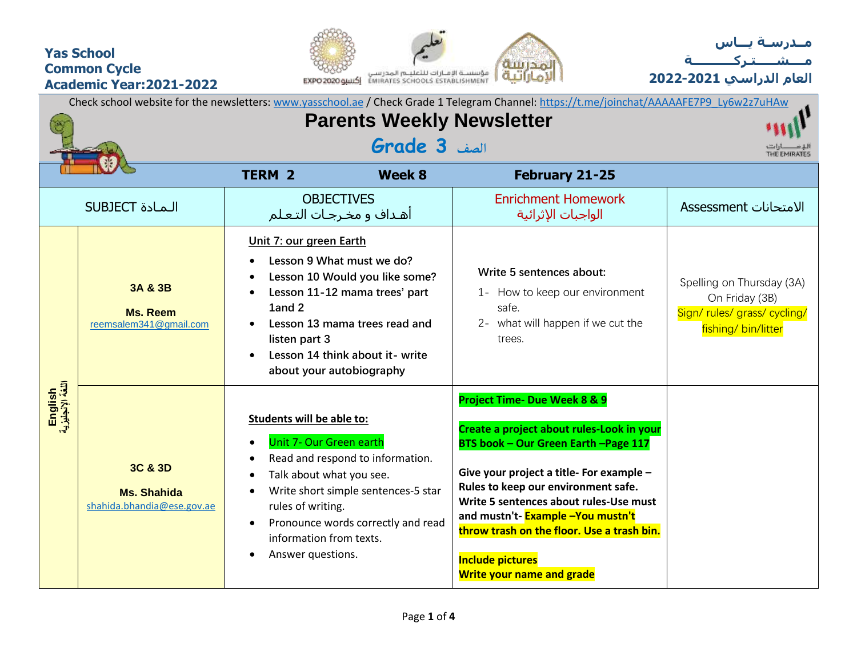## **Yas School Common Cycle Academic Year:2021-2022**





**العام الدراسي -2021 2022**

|                             | Check school website for the newsletters: www.yasschool.ae / Check Grade 1 Telegram Channel: https://t.me/joinchat/AAAAAFE7P9_Ly6w2z7uHAw |                                                                                                                                                                     |                                                                                                                                                                                              |                                                                                                                                                                                                                                                                                                                                                                                                   |                                                                                                    |  |  |  |  |  |
|-----------------------------|-------------------------------------------------------------------------------------------------------------------------------------------|---------------------------------------------------------------------------------------------------------------------------------------------------------------------|----------------------------------------------------------------------------------------------------------------------------------------------------------------------------------------------|---------------------------------------------------------------------------------------------------------------------------------------------------------------------------------------------------------------------------------------------------------------------------------------------------------------------------------------------------------------------------------------------------|----------------------------------------------------------------------------------------------------|--|--|--|--|--|
|                             |                                                                                                                                           | THE EMIRATES                                                                                                                                                        |                                                                                                                                                                                              |                                                                                                                                                                                                                                                                                                                                                                                                   |                                                                                                    |  |  |  |  |  |
|                             |                                                                                                                                           | <b>TERM 2</b>                                                                                                                                                       | <b>Week 8</b>                                                                                                                                                                                | February 21-25                                                                                                                                                                                                                                                                                                                                                                                    |                                                                                                    |  |  |  |  |  |
|                             | <b>SUBJECT</b> الـمـادة                                                                                                                   |                                                                                                                                                                     | <b>OBJECTIVES</b><br>أهـداف و مخـرجـات التـعـلم                                                                                                                                              | <b>Enrichment Homework</b><br>الواجبات الإثرائية                                                                                                                                                                                                                                                                                                                                                  | الامتحانات Assessment                                                                              |  |  |  |  |  |
|                             | 3A & 3B<br><b>Ms. Reem</b><br>reemsalem341@gmail.com                                                                                      | Unit 7: our green Earth<br>1and 2<br>listen part 3                                                                                                                  | Lesson 9 What must we do?<br>Lesson 10 Would you like some?<br>Lesson 11-12 mama trees' part<br>Lesson 13 mama trees read and<br>Lesson 14 think about it- write<br>about your autobiography | Write 5 sentences about:<br>1- How to keep our environment<br>safe.<br>2- what will happen if we cut the<br>trees.                                                                                                                                                                                                                                                                                | Spelling on Thursday (3A)<br>On Friday (3B)<br>Sign/ rules/ grass/ cycling/<br>fishing/ bin/litter |  |  |  |  |  |
| English<br>اللغة الإنجليزية | 3C & 3D<br><b>Ms. Shahida</b><br>shahida.bhandia@ese.gov.ae                                                                               | <b>Students will be able to:</b><br><b>Unit 7- Our Green earth</b><br>Talk about what you see.<br>rules of writing.<br>information from texts.<br>Answer questions. | Read and respond to information.<br>Write short simple sentences-5 star<br>Pronounce words correctly and read                                                                                | Project Time- Due Week 8 & 9<br>Create a project about rules-Look in your<br>BTS book - Our Green Earth - Page 117<br>Give your project a title- For example -<br>Rules to keep our environment safe.<br>Write 5 sentences about rules-Use must<br>and mustn't- Example -You mustn't<br>throw trash on the floor. Use a trash bin.<br><b>Include pictures</b><br><b>Write your name and grade</b> |                                                                                                    |  |  |  |  |  |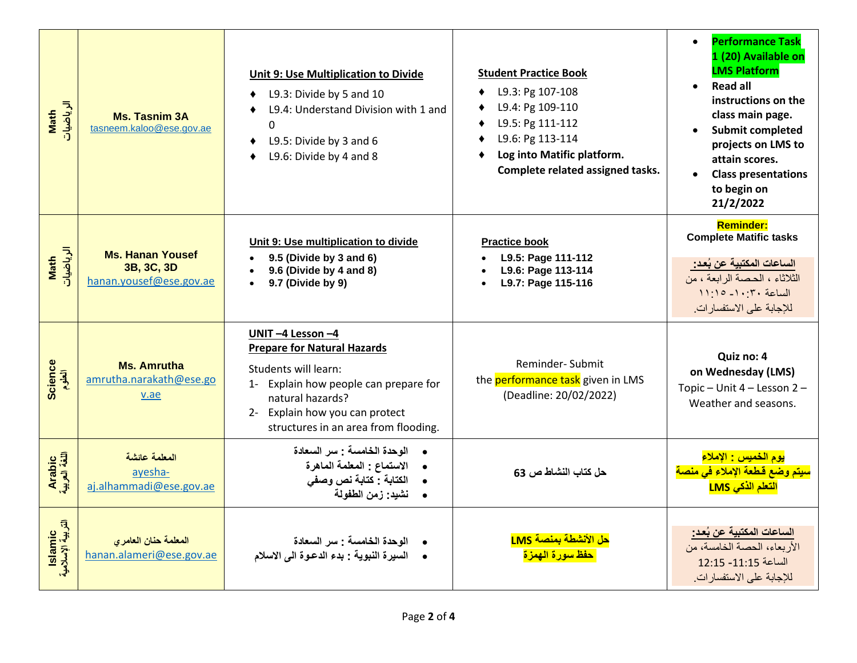| الرياضيات<br>Math            | <b>Ms. Tasnim 3A</b><br>tasneem.kaloo@ese.gov.ae                 | Unit 9: Use Multiplication to Divide<br>L9.3: Divide by 5 and 10<br>٠<br>L9.4: Understand Division with 1 and<br>$\mathbf 0$<br>L9.5: Divide by 3 and 6<br>L9.6: Divide by 4 and 8                                   | <b>Student Practice Book</b><br>L9.3: Pg 107-108<br>L9.4: Pg 109-110<br>L9.5: Pg 111-112<br>٠<br>L9.6: Pg 113-114<br>Log into Matific platform.<br>Complete related assigned tasks. | <b>Performance Task</b><br>$\bullet$<br>1 (20) Available on<br><b>LMS Platform</b><br><b>Read all</b><br>instructions on the<br>class main page.<br><b>Submit completed</b><br>projects on LMS to<br>attain scores.<br><b>Class presentations</b><br>to begin on<br>21/2/2022 |
|------------------------------|------------------------------------------------------------------|----------------------------------------------------------------------------------------------------------------------------------------------------------------------------------------------------------------------|-------------------------------------------------------------------------------------------------------------------------------------------------------------------------------------|-------------------------------------------------------------------------------------------------------------------------------------------------------------------------------------------------------------------------------------------------------------------------------|
| الرياضيات<br>Math            | <b>Ms. Hanan Yousef</b><br>3B, 3C, 3D<br>hanan.yousef@ese.gov.ae | Unit 9: Use multiplication to divide<br>9.5 (Divide by 3 and 6)<br>9.6 (Divide by 4 and 8)<br>9.7 (Divide by 9)                                                                                                      | <b>Practice book</b><br>L9.5: Page 111-112<br>L9.6: Page 113-114<br>$\bullet$<br>L9.7: Page 115-116                                                                                 | <b>Reminder:</b><br><b>Complete Matific tasks</b><br>الساعات المكتبية عن بُعد:<br>الثلاثاء ، الحصة الرابعة ، من<br>$11:10 - 1 \cdot 7 \cdot 4$<br>للإجابة على الاستفسارات.                                                                                                    |
| Science<br>العلوم            | <b>Ms. Amrutha</b><br>amrutha.narakath@ese.go<br>v.ae            | UNIT-4 Lesson-4<br><b>Prepare for Natural Hazards</b><br>Students will learn:<br>1- Explain how people can prepare for<br>natural hazards?<br>2- Explain how you can protect<br>structures in an area from flooding. | Reminder-Submit<br>the performance task given in LMS<br>(Deadline: 20/02/2022)                                                                                                      | Quiz no: 4<br>on Wednesday (LMS)<br>Topic - Unit 4 - Lesson 2 -<br>Weather and seasons.                                                                                                                                                                                       |
| Arabic<br>اللغة العربية      | المعلمة عائشة<br>ayesha-<br>aj.alhammadi@ese.gov.ae              | الوحدة الخامسة : سر السعادة<br>الاستماع : المعلمة الماهرة<br>الكتابة : كتابة نص وصفى<br>$\bullet$<br>•      نشيد: زمن الطفولة                                                                                        | حل كتاب النشاط ص 63                                                                                                                                                                 | <mark>يوم الخميس : الإملاء</mark><br>سيتم وضع قطعة الإملاء فى منصة<br><mark>التعلم الذكي LMS</mark>                                                                                                                                                                           |
| lslamic<br>التربية الإسلامية | المعلمة حنان العامري<br>hanan.alameri@ese.gov.ae                 | الوحدة الخامسة : سر السعادة<br>• السيرة النبوية : بدء الدعوة الى الاسلام                                                                                                                                             | <mark>حل الأنشطة بمنصة LMS</mark><br>حفظ سورة الهمزة                                                                                                                                | <u>الساعات المكتبية عن بُعد:</u><br>الأربعاء، الحصة الخامسة، من<br>الساعة 11:15- 12:15<br>للإجابة على الاستفسارات.                                                                                                                                                            |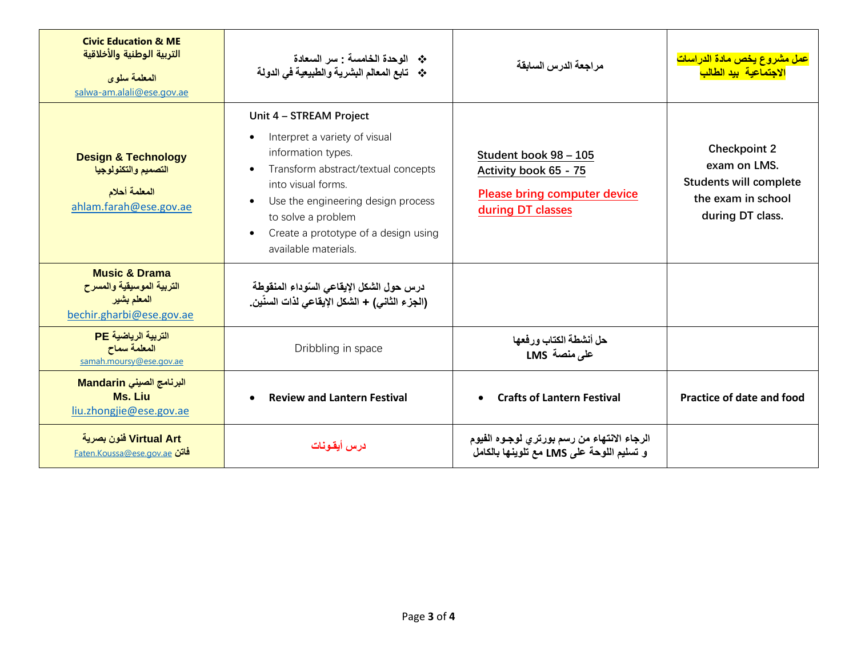| <b>Civic Education &amp; ME</b><br>التربية الوطنية والأخلاقية<br>المعلمة سلوى<br>salwa-am.alali@ese.gov.ae | * الوحدة الخامسة : سر السعادة<br>* تابع المعالم البشرية والطبيعية في الدولة                                                                                                                                                                                                                                                 | مر اجعة الدرس السابقة                                                                                      | <mark>عمل مشروع يخص مادة الدراسات</mark><br><mark>الاجتماعية بيد الطالب</mark>                                 |  |  |  |  |
|------------------------------------------------------------------------------------------------------------|-----------------------------------------------------------------------------------------------------------------------------------------------------------------------------------------------------------------------------------------------------------------------------------------------------------------------------|------------------------------------------------------------------------------------------------------------|----------------------------------------------------------------------------------------------------------------|--|--|--|--|
| <b>Design &amp; Technology</b><br>التصميم والتكنولوجيا<br>المعلمة أحلام<br>ahlam.farah@ese.gov.ae          | Unit 4 - STREAM Project<br>Interpret a variety of visual<br>$\bullet$<br>information types.<br>Transform abstract/textual concepts<br>$\bullet$<br>into visual forms.<br>Use the engineering design process<br>$\bullet$<br>to solve a problem<br>Create a prototype of a design using<br>$\bullet$<br>available materials. | Student book 98 - 105<br>Activity book 65 - 75<br><b>Please bring computer device</b><br>during DT classes | <b>Checkpoint 2</b><br>exam on LMS.<br><b>Students will complete</b><br>the exam in school<br>during DT class. |  |  |  |  |
| <b>Music &amp; Drama</b><br>التربية الموسيقية والمسرح<br>المعلم بشير<br>bechir.gharbi@ese.gov.ae           | درس حول الشكل الإيقاعي السوداء المنقوطة<br>(الجزء الثاني) + الشكل الإيقاعي لذات السنّين_                                                                                                                                                                                                                                    |                                                                                                            |                                                                                                                |  |  |  |  |
| التربية الرياضية PE<br>المعلمة سماح<br>samah.moursy@ese.gov.ae                                             | Dribbling in space                                                                                                                                                                                                                                                                                                          | حل أنشطة الكتاب ورفعها<br>على منصة LMS                                                                     |                                                                                                                |  |  |  |  |
| البرنامج الصيني Mandarin<br>Ms. Liu<br>liu.zhongjie@ese.gov.ae                                             | <b>Review and Lantern Festival</b><br>$\bullet$                                                                                                                                                                                                                                                                             | <b>Crafts of Lantern Festival</b>                                                                          | <b>Practice of date and food</b>                                                                               |  |  |  |  |
| Virtual Art فنون بصرية<br><u>Faten.Koussa@ese.gov.ae فاتن</u>                                              | درس أيقونات                                                                                                                                                                                                                                                                                                                 | الرجاء الانتهاء من رسم بورتري لوجوه الفيوم<br>و تسليم اللوحة على LMS مع تلوينها بالكامل                    |                                                                                                                |  |  |  |  |